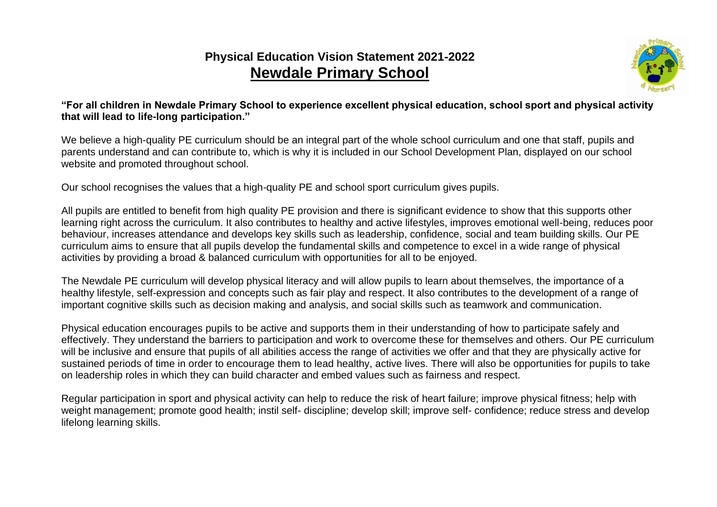## **Physical Education Vision Statement 2021-2022 Newdale Primary School**



**"For all children in Newdale Primary School to experience excellent physical education, school sport and physical activity that will lead to life-long participation."**

We believe a high-quality PE curriculum should be an integral part of the whole school curriculum and one that staff, pupils and parents understand and can contribute to, which is why it is included in our School Development Plan, displayed on our school website and promoted throughout school.

Our school recognises the values that a high-quality PE and school sport curriculum gives pupils.

All pupils are entitled to benefit from high quality PE provision and there is significant evidence to show that this supports other learning right across the curriculum. It also contributes to healthy and active lifestyles, improves emotional well-being, reduces poor behaviour, increases attendance and develops key skills such as leadership, confidence, social and team building skills. Our PE curriculum aims to ensure that all pupils develop the fundamental skills and competence to excel in a wide range of physical activities by providing a broad & balanced curriculum with opportunities for all to be enjoyed.

The Newdale PE curriculum will develop physical literacy and will allow pupils to learn about themselves, the importance of a healthy lifestyle, self-expression and concepts such as fair play and respect. It also contributes to the development of a range of important cognitive skills such as decision making and analysis, and social skills such as teamwork and communication.

Physical education encourages pupils to be active and supports them in their understanding of how to participate safely and effectively. They understand the barriers to participation and work to overcome these for themselves and others. Our PE curriculum will be inclusive and ensure that pupils of all abilities access the range of activities we offer and that they are physically active for sustained periods of time in order to encourage them to lead healthy, active lives. There will also be opportunities for pupils to take on leadership roles in which they can build character and embed values such as fairness and respect.

Regular participation in sport and physical activity can help to reduce the risk of heart failure; improve physical fitness; help with weight management; promote good health; instil self- discipline; develop skill; improve self- confidence; reduce stress and develop lifelong learning skills.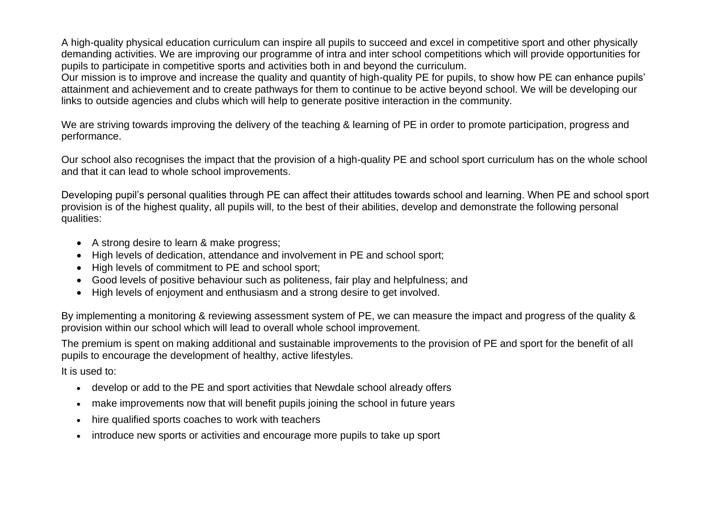A high-quality physical education curriculum can inspire all pupils to succeed and excel in competitive sport and other physically demanding activities. We are improving our programme of intra and inter school competitions which will provide opportunities for pupils to participate in competitive sports and activities both in and beyond the curriculum.

Our mission is to improve and increase the quality and quantity of high-quality PE for pupils, to show how PE can enhance pupils' attainment and achievement and to create pathways for them to continue to be active beyond school. We will be developing our links to outside agencies and clubs which will help to generate positive interaction in the community.

We are striving towards improving the delivery of the teaching & learning of PE in order to promote participation, progress and performance.

Our school also recognises the impact that the provision of a high-quality PE and school sport curriculum has on the whole school and that it can lead to whole school improvements.

Developing pupil's personal qualities through PE can affect their attitudes towards school and learning. When PE and school sport provision is of the highest quality, all pupils will, to the best of their abilities, develop and demonstrate the following personal qualities:

- A strong desire to learn & make progress;
- High levels of dedication, attendance and involvement in PE and school sport;
- High levels of commitment to PE and school sport;
- Good levels of positive behaviour such as politeness, fair play and helpfulness; and
- High levels of enjoyment and enthusiasm and a strong desire to get involved.

By implementing a monitoring & reviewing assessment system of PE, we can measure the impact and progress of the quality & provision within our school which will lead to overall whole school improvement.

The premium is spent on making additional and sustainable improvements to the provision of PE and sport for the benefit of all pupils to encourage the development of healthy, active lifestyles.

It is used to:

- develop or add to the PE and sport activities that Newdale school already offers
- make improvements now that will benefit pupils joining the school in future years
- hire qualified sports coaches to work with teachers
- introduce new sports or activities and encourage more pupils to take up sport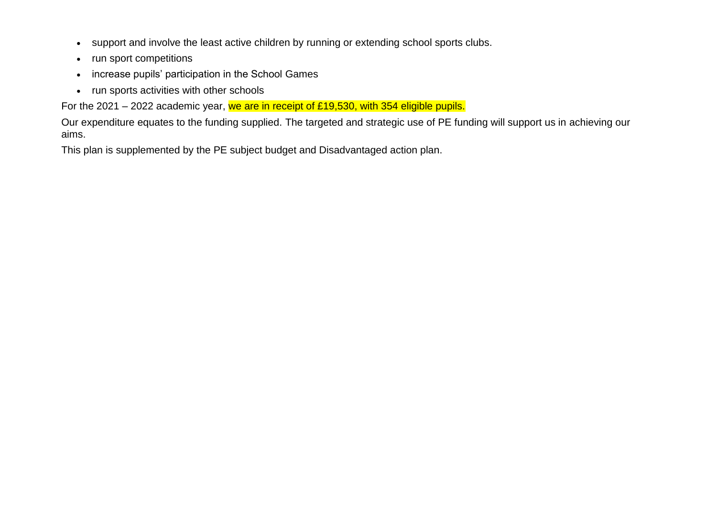- support and involve the least active children by running or extending school sports clubs.
- run sport competitions
- increase pupils' participation in the School Games
- run sports activities with other schools

For the 2021 – 2022 academic year, we are in receipt of £19,530, with 354 eligible pupils.

Our expenditure equates to the funding supplied. The targeted and strategic use of PE funding will support us in achieving our aims.

This plan is supplemented by the PE subject budget and Disadvantaged action plan.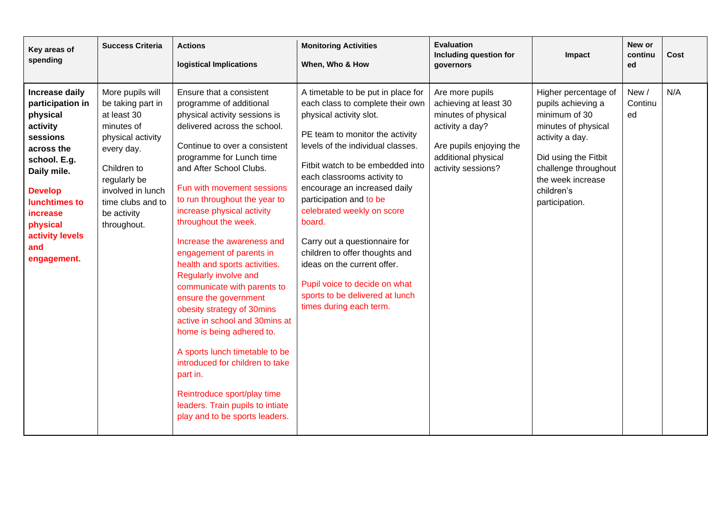| Key areas of<br>spending                                                                                                                                                                                                | <b>Success Criteria</b>                                                                                                                                                                                      | <b>Actions</b><br><b>logistical Implications</b>                                                                                                                                                                                                                                                                                                                                                                                                                                                                                                                                                                                                                                                                                                                                                 | <b>Monitoring Activities</b><br>When, Who & How                                                                                                                                                                                                                                                                                                                                                                                                                                                                                                  | <b>Evaluation</b><br><b>Including question for</b><br>governors                                                                                            | Impact                                                                                                                                                                                                     | New or<br>continu<br>ed | Cost |
|-------------------------------------------------------------------------------------------------------------------------------------------------------------------------------------------------------------------------|--------------------------------------------------------------------------------------------------------------------------------------------------------------------------------------------------------------|--------------------------------------------------------------------------------------------------------------------------------------------------------------------------------------------------------------------------------------------------------------------------------------------------------------------------------------------------------------------------------------------------------------------------------------------------------------------------------------------------------------------------------------------------------------------------------------------------------------------------------------------------------------------------------------------------------------------------------------------------------------------------------------------------|--------------------------------------------------------------------------------------------------------------------------------------------------------------------------------------------------------------------------------------------------------------------------------------------------------------------------------------------------------------------------------------------------------------------------------------------------------------------------------------------------------------------------------------------------|------------------------------------------------------------------------------------------------------------------------------------------------------------|------------------------------------------------------------------------------------------------------------------------------------------------------------------------------------------------------------|-------------------------|------|
| Increase daily<br>participation in<br>physical<br>activity<br>sessions<br>across the<br>school. E.g.<br>Daily mile.<br><b>Develop</b><br>lunchtimes to<br>increase<br>physical<br>activity levels<br>and<br>engagement. | More pupils will<br>be taking part in<br>at least 30<br>minutes of<br>physical activity<br>every day.<br>Children to<br>regularly be<br>involved in lunch<br>time clubs and to<br>be activity<br>throughout. | Ensure that a consistent<br>programme of additional<br>physical activity sessions is<br>delivered across the school.<br>Continue to over a consistent<br>programme for Lunch time<br>and After School Clubs.<br>Fun with movement sessions<br>to run throughout the year to<br>increase physical activity<br>throughout the week.<br>Increase the awareness and<br>engagement of parents in<br>health and sports activities.<br>Regularly involve and<br>communicate with parents to<br>ensure the government<br>obesity strategy of 30mins<br>active in school and 30mins at<br>home is being adhered to.<br>A sports lunch timetable to be<br>introduced for children to take<br>part in.<br>Reintroduce sport/play time<br>leaders. Train pupils to intiate<br>play and to be sports leaders. | A timetable to be put in place for<br>each class to complete their own<br>physical activity slot.<br>PE team to monitor the activity<br>levels of the individual classes.<br>Fitbit watch to be embedded into<br>each classrooms activity to<br>encourage an increased daily<br>participation and to be<br>celebrated weekly on score<br>board.<br>Carry out a questionnaire for<br>children to offer thoughts and<br>ideas on the current offer.<br>Pupil voice to decide on what<br>sports to be delivered at lunch<br>times during each term. | Are more pupils<br>achieving at least 30<br>minutes of physical<br>activity a day?<br>Are pupils enjoying the<br>additional physical<br>activity sessions? | Higher percentage of<br>pupils achieving a<br>minimum of 30<br>minutes of physical<br>activity a day.<br>Did using the Fitbit<br>challenge throughout<br>the week increase<br>children's<br>participation. | New /<br>Continu<br>ed  | N/A  |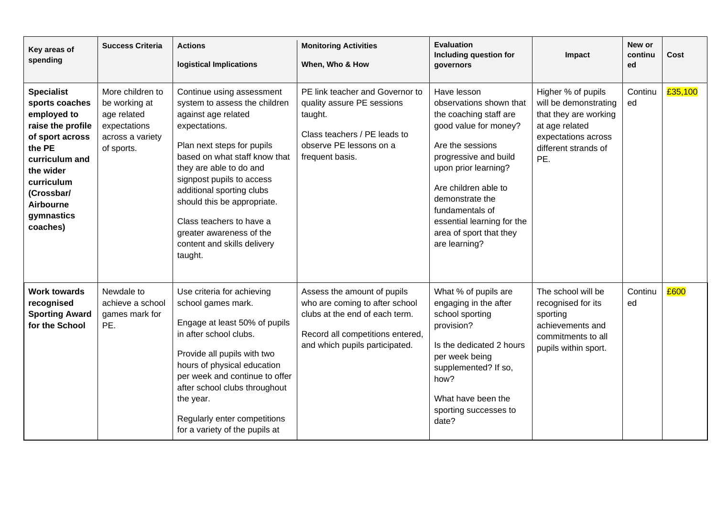| Key areas of<br>spending                                                                                                                                                                                      | <b>Success Criteria</b>                                                                            | <b>Actions</b><br><b>logistical Implications</b>                                                                                                                                                                                                                                                                                                                                        | <b>Monitoring Activities</b><br>When, Who & How                                                                                                                       | <b>Evaluation</b><br>Including question for<br>qovernors                                                                                                                                                                                                                                               | Impact                                                                                                                                       | New or<br>continu<br>ed | Cost    |
|---------------------------------------------------------------------------------------------------------------------------------------------------------------------------------------------------------------|----------------------------------------------------------------------------------------------------|-----------------------------------------------------------------------------------------------------------------------------------------------------------------------------------------------------------------------------------------------------------------------------------------------------------------------------------------------------------------------------------------|-----------------------------------------------------------------------------------------------------------------------------------------------------------------------|--------------------------------------------------------------------------------------------------------------------------------------------------------------------------------------------------------------------------------------------------------------------------------------------------------|----------------------------------------------------------------------------------------------------------------------------------------------|-------------------------|---------|
| <b>Specialist</b><br>sports coaches<br>employed to<br>raise the profile<br>of sport across<br>the PE<br>curriculum and<br>the wider<br>curriculum<br>(Crossbar/<br><b>Airbourne</b><br>gymnastics<br>coaches) | More children to<br>be working at<br>age related<br>expectations<br>across a variety<br>of sports. | Continue using assessment<br>system to assess the children<br>against age related<br>expectations.<br>Plan next steps for pupils<br>based on what staff know that<br>they are able to do and<br>signpost pupils to access<br>additional sporting clubs<br>should this be appropriate.<br>Class teachers to have a<br>greater awareness of the<br>content and skills delivery<br>taught. | PE link teacher and Governor to<br>quality assure PE sessions<br>taught.<br>Class teachers / PE leads to<br>observe PE lessons on a<br>frequent basis.                | Have lesson<br>observations shown that<br>the coaching staff are<br>good value for money?<br>Are the sessions<br>progressive and build<br>upon prior learning?<br>Are children able to<br>demonstrate the<br>fundamentals of<br>essential learning for the<br>area of sport that they<br>are learning? | Higher % of pupils<br>will be demonstrating<br>that they are working<br>at age related<br>expectations across<br>different strands of<br>PE. | Continu<br>ed           | £35,100 |
| <b>Work towards</b><br>recognised<br><b>Sporting Award</b><br>for the School                                                                                                                                  | Newdale to<br>achieve a school<br>games mark for<br>PE.                                            | Use criteria for achieving<br>school games mark.<br>Engage at least 50% of pupils<br>in after school clubs.<br>Provide all pupils with two<br>hours of physical education<br>per week and continue to offer<br>after school clubs throughout<br>the year.<br>Regularly enter competitions<br>for a variety of the pupils at                                                             | Assess the amount of pupils<br>who are coming to after school<br>clubs at the end of each term.<br>Record all competitions entered,<br>and which pupils participated. | What % of pupils are<br>engaging in the after<br>school sporting<br>provision?<br>Is the dedicated 2 hours<br>per week being<br>supplemented? If so,<br>how?<br>What have been the<br>sporting successes to<br>date?                                                                                   | The school will be<br>recognised for its<br>sporting<br>achievements and<br>commitments to all<br>pupils within sport.                       | Continu<br>ed           | £600    |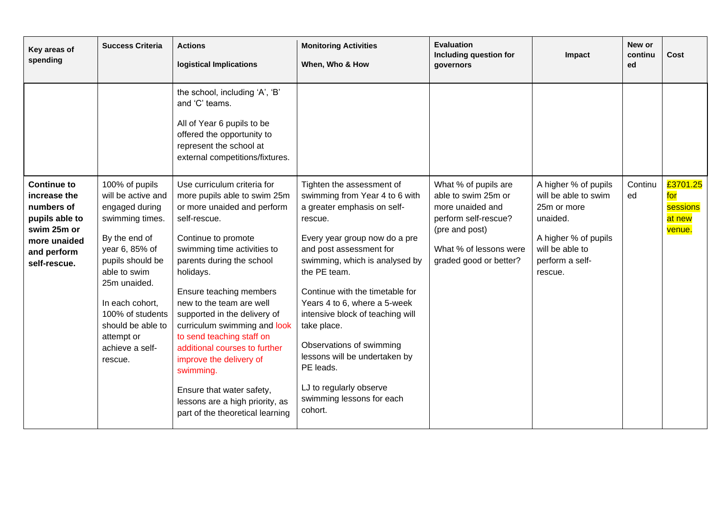| Key areas of<br>spending                                                                                                         | <b>Success Criteria</b>                                                                                                                                                                                                                                                  | <b>Actions</b><br><b>logistical Implications</b>                                                                                                                                                                                                                                                                                                                                                                                                                                                                                            | <b>Monitoring Activities</b><br>When, Who & How                                                                                                                                                                                                                                                                                                                                                                                                                                        | <b>Evaluation</b><br>Including question for<br>governors                                                                                                      | Impact                                                                                                                                           | New or<br>continu<br>ed | Cost                                            |
|----------------------------------------------------------------------------------------------------------------------------------|--------------------------------------------------------------------------------------------------------------------------------------------------------------------------------------------------------------------------------------------------------------------------|---------------------------------------------------------------------------------------------------------------------------------------------------------------------------------------------------------------------------------------------------------------------------------------------------------------------------------------------------------------------------------------------------------------------------------------------------------------------------------------------------------------------------------------------|----------------------------------------------------------------------------------------------------------------------------------------------------------------------------------------------------------------------------------------------------------------------------------------------------------------------------------------------------------------------------------------------------------------------------------------------------------------------------------------|---------------------------------------------------------------------------------------------------------------------------------------------------------------|--------------------------------------------------------------------------------------------------------------------------------------------------|-------------------------|-------------------------------------------------|
|                                                                                                                                  |                                                                                                                                                                                                                                                                          | the school, including 'A', 'B'<br>and 'C' teams.<br>All of Year 6 pupils to be<br>offered the opportunity to<br>represent the school at<br>external competitions/fixtures.                                                                                                                                                                                                                                                                                                                                                                  |                                                                                                                                                                                                                                                                                                                                                                                                                                                                                        |                                                                                                                                                               |                                                                                                                                                  |                         |                                                 |
| <b>Continue to</b><br>increase the<br>numbers of<br>pupils able to<br>swim 25m or<br>more unaided<br>and perform<br>self-rescue. | 100% of pupils<br>will be active and<br>engaged during<br>swimming times.<br>By the end of<br>year 6, 85% of<br>pupils should be<br>able to swim<br>25m unaided.<br>In each cohort.<br>100% of students<br>should be able to<br>attempt or<br>achieve a self-<br>rescue. | Use curriculum criteria for<br>more pupils able to swim 25m<br>or more unaided and perform<br>self-rescue.<br>Continue to promote<br>swimming time activities to<br>parents during the school<br>holidays.<br>Ensure teaching members<br>new to the team are well<br>supported in the delivery of<br>curriculum swimming and look<br>to send teaching staff on<br>additional courses to further<br>improve the delivery of<br>swimming.<br>Ensure that water safety,<br>lessons are a high priority, as<br>part of the theoretical learning | Tighten the assessment of<br>swimming from Year 4 to 6 with<br>a greater emphasis on self-<br>rescue.<br>Every year group now do a pre<br>and post assessment for<br>swimming, which is analysed by<br>the PE team.<br>Continue with the timetable for<br>Years 4 to 6, where a 5-week<br>intensive block of teaching will<br>take place.<br>Observations of swimming<br>lessons will be undertaken by<br>PE leads.<br>LJ to regularly observe<br>swimming lessons for each<br>cohort. | What % of pupils are<br>able to swim 25m or<br>more unaided and<br>perform self-rescue?<br>(pre and post)<br>What % of lessons were<br>graded good or better? | A higher % of pupils<br>will be able to swim<br>25m or more<br>unaided.<br>A higher % of pupils<br>will be able to<br>perform a self-<br>rescue. | Continu<br>ed           | £3701.25<br>for<br>sessions<br>at new<br>venue. |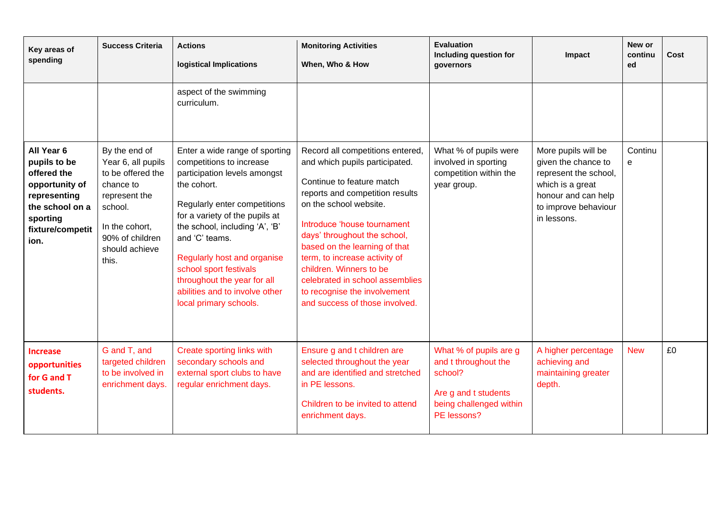| Key areas of<br>spending                                                                                                               | <b>Success Criteria</b>                                                                                                                                           | <b>Actions</b><br>logistical Implications                                                                                                                                                                                                                                                                                                                                           | <b>Monitoring Activities</b><br>When, Who & How                                                                                                                                                                                                                                                                                                                                                                               | <b>Evaluation</b><br>Including question for<br>governors                                                                    | Impact                                                                                                                                                | New or<br>continu<br>ed | Cost |
|----------------------------------------------------------------------------------------------------------------------------------------|-------------------------------------------------------------------------------------------------------------------------------------------------------------------|-------------------------------------------------------------------------------------------------------------------------------------------------------------------------------------------------------------------------------------------------------------------------------------------------------------------------------------------------------------------------------------|-------------------------------------------------------------------------------------------------------------------------------------------------------------------------------------------------------------------------------------------------------------------------------------------------------------------------------------------------------------------------------------------------------------------------------|-----------------------------------------------------------------------------------------------------------------------------|-------------------------------------------------------------------------------------------------------------------------------------------------------|-------------------------|------|
|                                                                                                                                        |                                                                                                                                                                   | aspect of the swimming<br>curriculum.                                                                                                                                                                                                                                                                                                                                               |                                                                                                                                                                                                                                                                                                                                                                                                                               |                                                                                                                             |                                                                                                                                                       |                         |      |
| All Year 6<br>pupils to be<br>offered the<br>opportunity of<br>representing<br>the school on a<br>sporting<br>fixture/competit<br>ion. | By the end of<br>Year 6, all pupils<br>to be offered the<br>chance to<br>represent the<br>school.<br>In the cohort,<br>90% of children<br>should achieve<br>this. | Enter a wide range of sporting<br>competitions to increase<br>participation levels amongst<br>the cohort.<br>Regularly enter competitions<br>for a variety of the pupils at<br>the school, including 'A', 'B'<br>and 'C' teams.<br>Regularly host and organise<br>school sport festivals<br>throughout the year for all<br>abilities and to involve other<br>local primary schools. | Record all competitions entered,<br>and which pupils participated.<br>Continue to feature match<br>reports and competition results<br>on the school website.<br>Introduce 'house tournament<br>days' throughout the school,<br>based on the learning of that<br>term, to increase activity of<br>children. Winners to be<br>celebrated in school assemblies<br>to recognise the involvement<br>and success of those involved. | What % of pupils were<br>involved in sporting<br>competition within the<br>year group.                                      | More pupils will be<br>given the chance to<br>represent the school,<br>which is a great<br>honour and can help<br>to improve behaviour<br>in lessons. | Continu<br>e            |      |
| <b>Increase</b><br>opportunities<br>for G and T<br>students.                                                                           | G and T, and<br>targeted children<br>to be involved in<br>enrichment days.                                                                                        | Create sporting links with<br>secondary schools and<br>external sport clubs to have<br>regular enrichment days.                                                                                                                                                                                                                                                                     | Ensure g and t children are<br>selected throughout the year<br>and are identified and stretched<br>in PE lessons.<br>Children to be invited to attend<br>enrichment days.                                                                                                                                                                                                                                                     | What % of pupils are g<br>and t throughout the<br>school?<br>Are g and t students<br>being challenged within<br>PE lessons? | A higher percentage<br>achieving and<br>maintaining greater<br>depth.                                                                                 | <b>New</b>              | £0   |